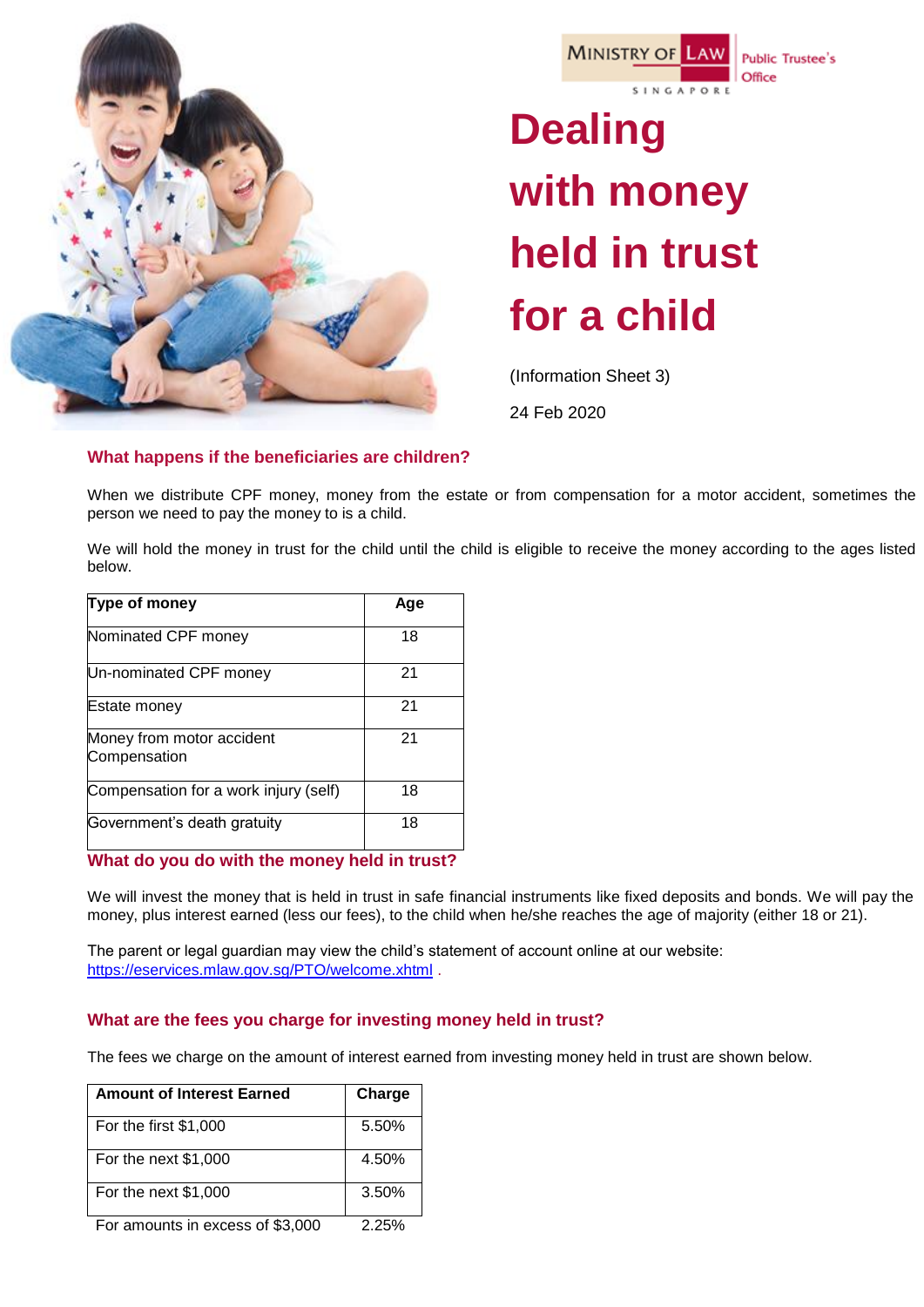



**Public Trustee's** Office

# **Dealing with money held in trust for a child**

(Information Sheet 3)

24 Feb 2020

# **What happens if the beneficiaries are children?**

When we distribute CPF money, money from the estate or from compensation for a motor accident, sometimes the person we need to pay the money to is a child.

We will hold the money in trust for the child until the child is eligible to receive the money according to the ages listed below.

| Type of money                             | Age |
|-------------------------------------------|-----|
| Nominated CPF money                       | 18  |
| Un-nominated CPF money                    | 21  |
| <b>Estate money</b>                       | 21  |
| Money from motor accident<br>Compensation | 21  |
| Compensation for a work injury (self)     | 18  |
| Government's death gratuity               | 18  |

# **What do you do with the money held in trust?**

We will invest the money that is held in trust in safe financial instruments like fixed deposits and bonds. We will pay the money, plus interest earned (less our fees), to the child when he/she reaches the age of majority (either 18 or 21).

The parent or legal guardian may view the child's statement of account online at our website: <https://eservices.mlaw.gov.sg/PTO/welcome.xhtml> .

# **What are the fees you charge for investing money held in trust?**

The fees we charge on the amount of interest earned from investing money held in trust are shown below.

| <b>Amount of Interest Earned</b> | Charge                     |
|----------------------------------|----------------------------|
| For the first \$1,000            | 5.50%                      |
| For the next \$1,000             | 4.50%                      |
| For the next $$1,000$            | 3.50%                      |
|                                  | $\Omega$ $\Omega$ $\Omega$ |

For amounts in excess of \$3,000 2.25%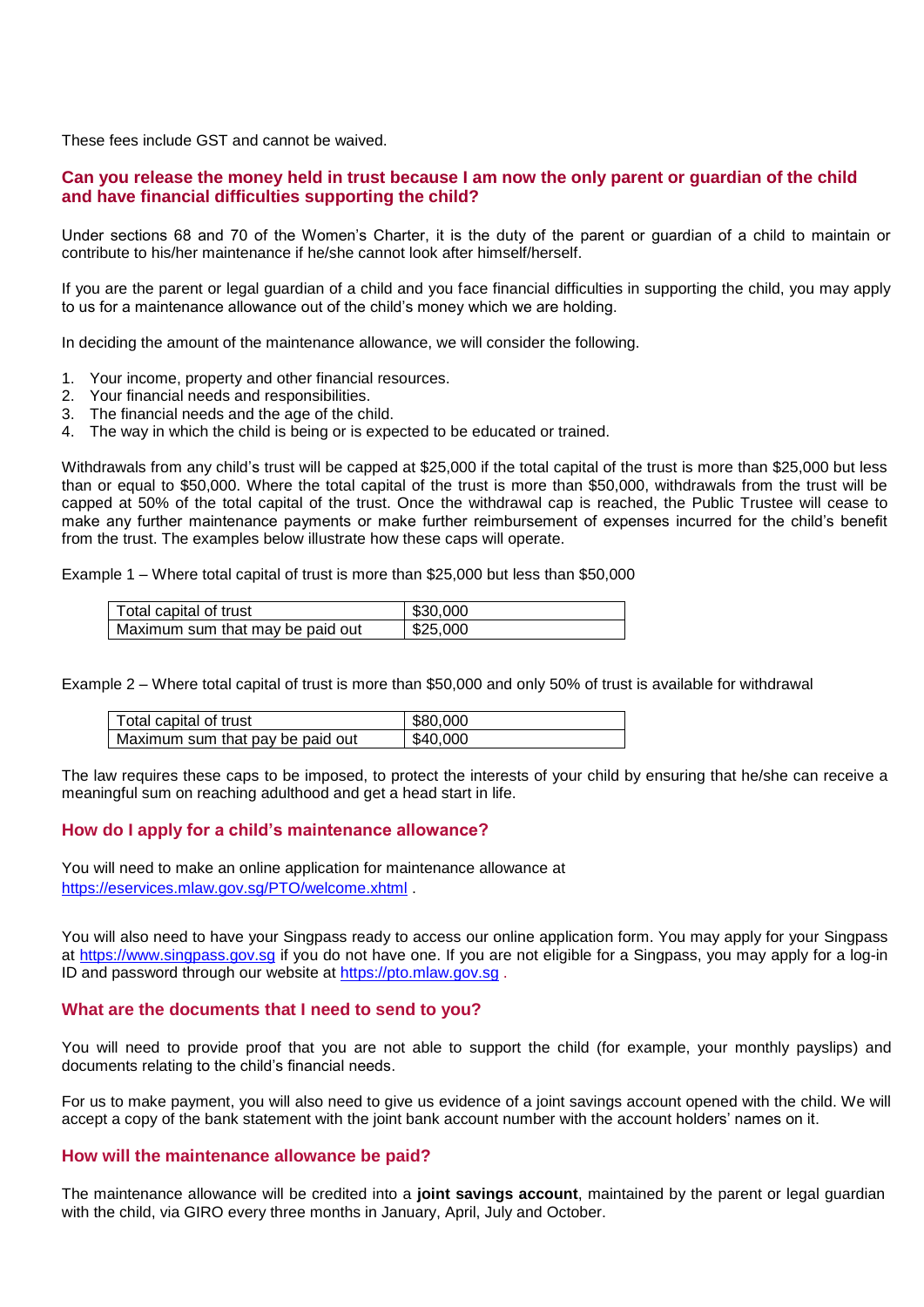These fees include GST and cannot be waived.

# **Can you release the money held in trust because I am now the only parent or guardian of the child and have financial difficulties supporting the child?**

Under sections 68 and 70 of the Women's Charter, it is the duty of the parent or guardian of a child to maintain or contribute to his/her maintenance if he/she cannot look after himself/herself.

If you are the parent or legal guardian of a child and you face financial difficulties in supporting the child, you may apply to us for a maintenance allowance out of the child's money which we are holding.

In deciding the amount of the maintenance allowance, we will consider the following.

- 1. Your income, property and other financial resources.
- 2. Your financial needs and responsibilities.
- 3. The financial needs and the age of the child.
- 4. The way in which the child is being or is expected to be educated or trained.

Withdrawals from any child's trust will be capped at \$25,000 if the total capital of the trust is more than \$25,000 but less than or equal to \$50,000. Where the total capital of the trust is more than \$50,000, withdrawals from the trust will be capped at 50% of the total capital of the trust. Once the withdrawal cap is reached, the Public Trustee will cease to make any further maintenance payments or make further reimbursement of expenses incurred for the child's benefit from the trust. The examples below illustrate how these caps will operate.

Example 1 – Where total capital of trust is more than \$25,000 but less than \$50,000

| Total capital of trust           | \$30,000 |
|----------------------------------|----------|
| Maximum sum that may be paid out | \$25,000 |

Example 2 – Where total capital of trust is more than \$50,000 and only 50% of trust is available for withdrawal

| Total capital of trust           | \$80,000 |
|----------------------------------|----------|
| Maximum sum that pay be paid out | \$40,000 |

The law requires these caps to be imposed, to protect the interests of your child by ensuring that he/she can receive a meaningful sum on reaching adulthood and get a head start in life.

# **How do I apply for a child's maintenance allowance?**

You will need to make an online application for maintenance allowance at <https://eservices.mlaw.gov.sg/PTO/welcome.xhtml>

You will also need to have your Singpass ready to access our online application form. You may apply for your Singpass at https://www[.singpass.](https://www.singpass.gov.sg/)gov.sg if you do not have one. If you are not eligible for a Singpass, you may apply for a log-in ID and password through our website at [https://pto.mlaw.gov.sg](https://pto.mlaw.gov.sg/).

#### **What are the documents that I need to send to you?**

You will need to provide proof that you are not able to support the child (for example, your monthly payslips) and documents relating to the child's financial needs.

For us to make payment, you will also need to give us evidence of a joint savings account opened with the child. We will accept a copy of the bank statement with the joint bank account number with the account holders' names on it.

#### **How will the maintenance allowance be paid?**

The maintenance allowance will be credited into a **joint savings account**, maintained by the parent or legal guardian with the child, via GIRO every three months in January, April, July and October.